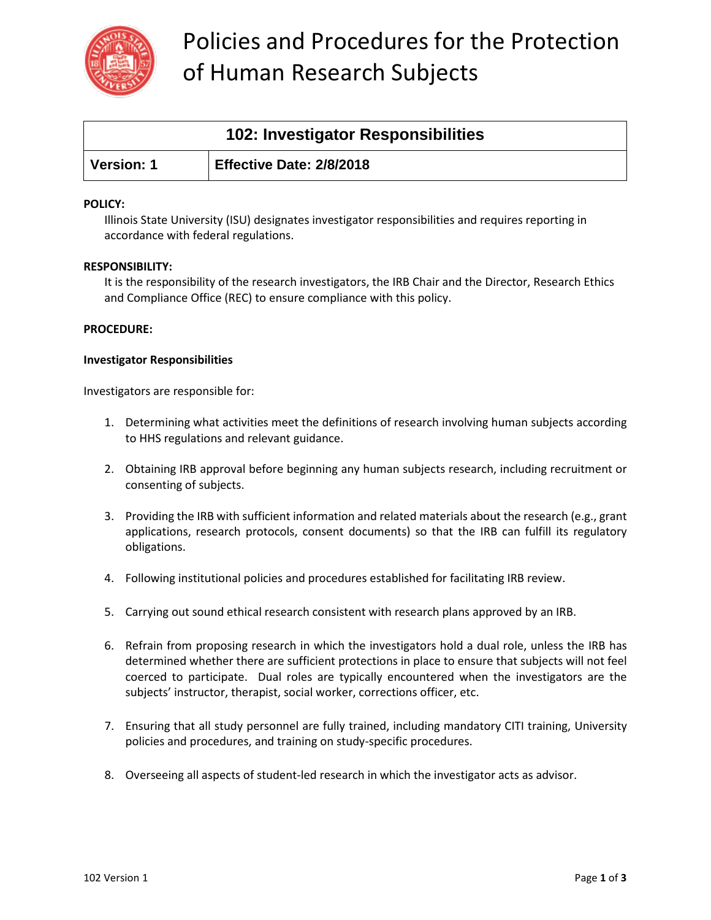

# Policies and Procedures for the Protection of Human Research Subjects

| 102: Investigator Responsibilities |                          |
|------------------------------------|--------------------------|
| l Version: 1                       | Effective Date: 2/8/2018 |

### **POLICY:**

Illinois State University (ISU) designates investigator responsibilities and requires reporting in accordance with federal regulations.

#### **RESPONSIBILITY:**

It is the responsibility of the research investigators, the IRB Chair and the Director, Research Ethics and Compliance Office (REC) to ensure compliance with this policy.

#### **PROCEDURE:**

#### **Investigator Responsibilities**

Investigators are responsible for:

- 1. Determining what activities meet the definitions of research involving human subjects according to HHS regulations and relevant guidance.
- 2. Obtaining IRB approval before beginning any human subjects research, including recruitment or consenting of subjects.
- 3. Providing the IRB with sufficient information and related materials about the research (e.g., grant applications, research protocols, consent documents) so that the IRB can fulfill its regulatory obligations.
- 4. Following institutional policies and procedures established for facilitating IRB review.
- 5. Carrying out sound ethical research consistent with research plans approved by an IRB.
- 6. Refrain from proposing research in which the investigators hold a dual role, unless the IRB has determined whether there are sufficient protections in place to ensure that subjects will not feel coerced to participate. Dual roles are typically encountered when the investigators are the subjects' instructor, therapist, social worker, corrections officer, etc.
- 7. Ensuring that all study personnel are fully trained, including mandatory CITI training, University policies and procedures, and training on study-specific procedures.
- 8. Overseeing all aspects of student-led research in which the investigator acts as advisor.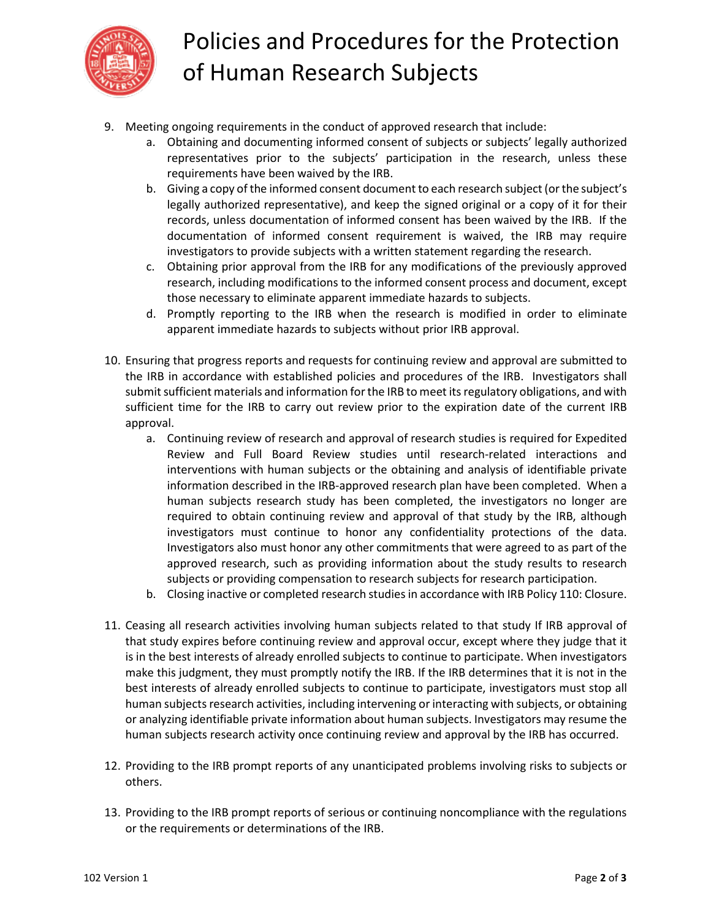

## Policies and Procedures for the Protection of Human Research Subjects

- 9. Meeting ongoing requirements in the conduct of approved research that include:
	- a. Obtaining and documenting informed consent of subjects or subjects' legally authorized representatives prior to the subjects' participation in the research, unless these requirements have been waived by the IRB.
	- b. Giving a copy of the informed consent document to each research subject (or the subject's legally authorized representative), and keep the signed original or a copy of it for their records, unless documentation of informed consent has been waived by the IRB. If the documentation of informed consent requirement is waived, the IRB may require investigators to provide subjects with a written statement regarding the research.
	- c. Obtaining prior approval from the IRB for any modifications of the previously approved research, including modifications to the informed consent process and document, except those necessary to eliminate apparent immediate hazards to subjects.
	- d. Promptly reporting to the IRB when the research is modified in order to eliminate apparent immediate hazards to subjects without prior IRB approval.
- 10. Ensuring that progress reports and requests for continuing review and approval are submitted to the IRB in accordance with established policies and procedures of the IRB. Investigators shall submit sufficient materials and information for the IRB to meet its regulatory obligations, and with sufficient time for the IRB to carry out review prior to the expiration date of the current IRB approval.
	- a. Continuing review of research and approval of research studies is required for Expedited Review and Full Board Review studies until research-related interactions and interventions with human subjects or the obtaining and analysis of identifiable private information described in the IRB-approved research plan have been completed. When a human subjects research study has been completed, the investigators no longer are required to obtain continuing review and approval of that study by the IRB, although investigators must continue to honor any confidentiality protections of the data. Investigators also must honor any other commitments that were agreed to as part of the approved research, such as providing information about the study results to research subjects or providing compensation to research subjects for research participation.
	- b. Closing inactive or completed research studies in accordance with IRB Policy 110: Closure.
- 11. Ceasing all research activities involving human subjects related to that study If IRB approval of that study expires before continuing review and approval occur, except where they judge that it is in the best interests of already enrolled subjects to continue to participate. When investigators make this judgment, they must promptly notify the IRB. If the IRB determines that it is not in the best interests of already enrolled subjects to continue to participate, investigators must stop all human subjects research activities, including intervening or interacting with subjects, or obtaining or analyzing identifiable private information about human subjects. Investigators may resume the human subjects research activity once continuing review and approval by the IRB has occurred.
- 12. Providing to the IRB prompt reports of any unanticipated problems involving risks to subjects or others.
- 13. Providing to the IRB prompt reports of serious or continuing noncompliance with the regulations or the requirements or determinations of the IRB.